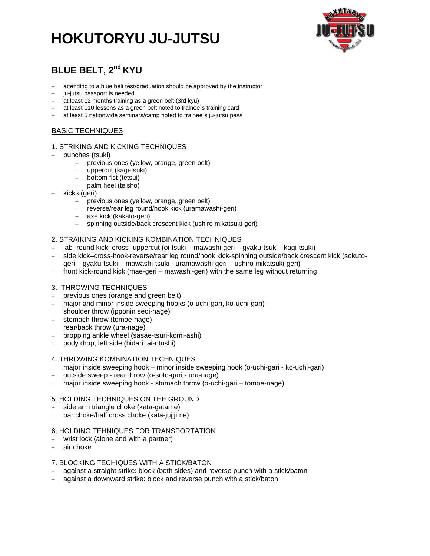## **HOKUTORYU JU-JUTSU**



### **BLUE BELT, 2nd KYU**

- attending to a blue belt test/graduation should be approved by the instructor
- ju-jutsu passport is needed
- at least 12 months training as a green belt (3rd kyu)
- at least 110 lessons as a green belt noted to trainee's training card
- at least 5 nationwide seminars/camp noted to trainee's ju-jutsu pass

### BASIC TECHNIQUES

### 1. STRIKING AND KICKING TECHNIQUES

- punches (tsuki)
	- previous ones (yellow, orange, green belt)
	- uppercut (kagi-tsuki)
	- bottom fist (tetsui)
	- palm heel (teisho)
- kicks (geri)
	- previous ones (yellow, orange, green belt)
	- reverse/rear leg round/hook kick (uramawashi-geri)
	- axe kick (kakato-geri)
	- spinning outside/back crescent kick (ushiro mikatsuki-geri)

### 2. STRAIKING AND KICKING KOMBINATION TECHNIQUES

- jab–round kick–cross- uppercut (oi-tsuki mawashi-geri gyaku-tsuki kagi-tsuki)
- side kick–cross-hook-reverse/rear leg round/hook kick-spinning outside/back crescent kick (sokutogeri – gyaku-tsuki – mawashi-tsuki - uramawashi-geri – ushiro mikatsuki-geri)
- front kick-round kick (mae-geri mawashi-geri) with the same leg without returning

### 3. THROWING TECHNIQUES

- previous ones (orange and green belt)
- major and minor inside sweeping hooks (o-uchi-gari, ko-uchi-gari)
- shoulder throw (ipponin seoi-nage)
- stomach throw (tomoe-nage)
- rear/back throw (ura-nage)
- propping ankle wheel (sasae-tsuri-komi-ashi)
- body drop, left side (hidari tai-otoshi)

### 4. THROWING KOMBINATION TECHNIQUES

- major inside sweeping hook minor inside sweeping hook (o-uchi-gari ko-uchi-gari)
- outside sweep rear throw (o-soto-gari ura-nage)
- major inside sweeping hook stomach throw (o-uchi-gari tomoe-nage)

### 5. HOLDING TECHNIQUES ON THE GROUND

- side arm triangle choke (kata-gatame)
- bar choke/half cross choke (kata-jujijime)

### 6. HOLDING TEHNIQUES FOR TRANSPORTATION

- wrist lock (alone and with a partner)
- air choke

### 7. BLOCKING TECHIQUES WITH A STICK/BATON

- against a straight strike: block (both sides) and reverse punch with a stick/baton
- against a downward strike: block and reverse punch with a stick/baton